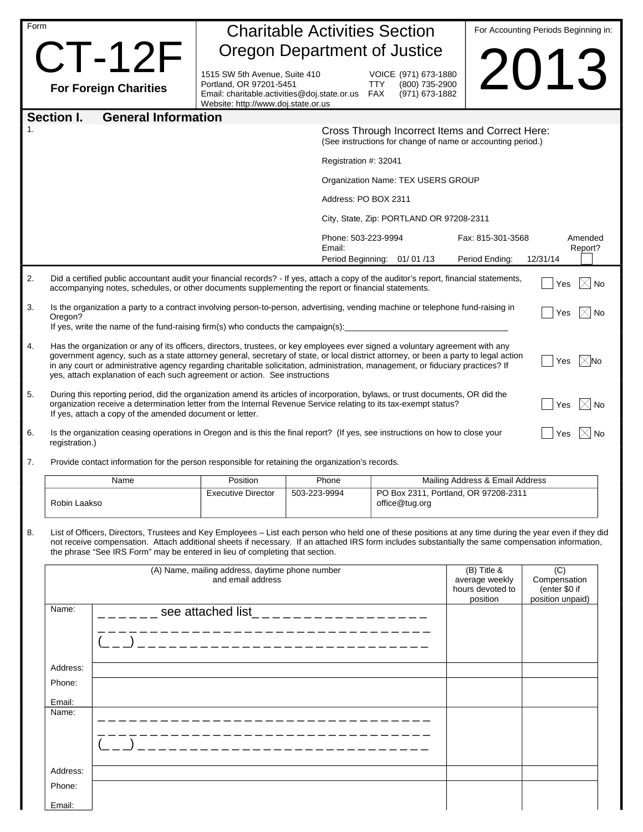| Form           |                                                                                                                                                                                                                                                                                                                                                                                                                                                                                                                                                                                                      |                                                                                                                                                 | <b>Charitable Activities Section</b>              |                                                                               |                                                                                                                | For Accounting Periods Beginning in: |
|----------------|------------------------------------------------------------------------------------------------------------------------------------------------------------------------------------------------------------------------------------------------------------------------------------------------------------------------------------------------------------------------------------------------------------------------------------------------------------------------------------------------------------------------------------------------------------------------------------------------------|-------------------------------------------------------------------------------------------------------------------------------------------------|---------------------------------------------------|-------------------------------------------------------------------------------|----------------------------------------------------------------------------------------------------------------|--------------------------------------|
|                | $CT-12F$                                                                                                                                                                                                                                                                                                                                                                                                                                                                                                                                                                                             |                                                                                                                                                 | Oregon Department of Justice                      |                                                                               |                                                                                                                |                                      |
|                | <b>For Foreign Charities</b>                                                                                                                                                                                                                                                                                                                                                                                                                                                                                                                                                                         | 1515 SW 5th Avenue, Suite 410<br>Portland, OR 97201-5451<br>Email: charitable.activities@doj.state.or.us<br>Website: http://www.doj.state.or.us |                                                   | VOICE (971) 673-1880<br>(800) 735-2900<br><b>TTY</b><br>FAX<br>(971) 673-1882 |                                                                                                                | 2013                                 |
|                | <b>General Information</b><br>Section I.                                                                                                                                                                                                                                                                                                                                                                                                                                                                                                                                                             |                                                                                                                                                 |                                                   |                                                                               |                                                                                                                |                                      |
| $\mathbf{1}$ . |                                                                                                                                                                                                                                                                                                                                                                                                                                                                                                                                                                                                      |                                                                                                                                                 |                                                   |                                                                               | Cross Through Incorrect Items and Correct Here:<br>(See instructions for change of name or accounting period.) |                                      |
|                |                                                                                                                                                                                                                                                                                                                                                                                                                                                                                                                                                                                                      |                                                                                                                                                 | Registration #: 32041                             |                                                                               |                                                                                                                |                                      |
|                |                                                                                                                                                                                                                                                                                                                                                                                                                                                                                                                                                                                                      |                                                                                                                                                 |                                                   | Organization Name: TEX USERS GROUP                                            |                                                                                                                |                                      |
|                |                                                                                                                                                                                                                                                                                                                                                                                                                                                                                                                                                                                                      |                                                                                                                                                 | Address: PO BOX 2311                              |                                                                               |                                                                                                                |                                      |
|                |                                                                                                                                                                                                                                                                                                                                                                                                                                                                                                                                                                                                      |                                                                                                                                                 |                                                   | City, State, Zip: PORTLAND OR 97208-2311                                      |                                                                                                                |                                      |
|                |                                                                                                                                                                                                                                                                                                                                                                                                                                                                                                                                                                                                      |                                                                                                                                                 | Phone: 503-223-9994<br>Email:                     | Period Beginning: 01/01/13                                                    | Fax: 815-301-3568<br>Period Ending:                                                                            | Amended<br>Report?<br>12/31/14       |
| 2.             | Did a certified public accountant audit your financial records? - If yes, attach a copy of the auditor's report, financial statements,<br>accompanying notes, schedules, or other documents supplementing the report or financial statements.                                                                                                                                                                                                                                                                                                                                                        |                                                                                                                                                 |                                                   |                                                                               |                                                                                                                | $\boxtimes$ No<br>Yes                |
| 3.             | Is the organization a party to a contract involving person-to-person, advertising, vending machine or telephone fund-raising in<br>Oregon?                                                                                                                                                                                                                                                                                                                                                                                                                                                           |                                                                                                                                                 |                                                   |                                                                               |                                                                                                                | <b>No</b><br>Yes                     |
| 4.             | If yes, write the name of the fund-raising firm(s) who conducts the campaign(s):<br>Has the organization or any of its officers, directors, trustees, or key employees ever signed a voluntary agreement with any<br>government agency, such as a state attorney general, secretary of state, or local district attorney, or been a party to legal action<br>$\mathbb{X}$ No<br>Yes<br>in any court or administrative agency regarding charitable solicitation, administration, management, or fiduciary practices? If<br>yes, attach explanation of each such agreement or action. See instructions |                                                                                                                                                 |                                                   |                                                                               |                                                                                                                |                                      |
| 5.             | During this reporting period, did the organization amend its articles of incorporation, bylaws, or trust documents, OR did the<br>$\bowtie$ No<br>organization receive a determination letter from the Internal Revenue Service relating to its tax-exempt status?<br>Yes<br>If yes, attach a copy of the amended document or letter.                                                                                                                                                                                                                                                                |                                                                                                                                                 |                                                   |                                                                               |                                                                                                                |                                      |
| 6.             | Is the organization ceasing operations in Oregon and is this the final report? (If yes, see instructions on how to close your<br>registration.)                                                                                                                                                                                                                                                                                                                                                                                                                                                      |                                                                                                                                                 |                                                   |                                                                               |                                                                                                                | Yes                                  |
| 7.             | Provide contact information for the person responsible for retaining the organization's records.                                                                                                                                                                                                                                                                                                                                                                                                                                                                                                     |                                                                                                                                                 |                                                   |                                                                               |                                                                                                                |                                      |
|                | Name                                                                                                                                                                                                                                                                                                                                                                                                                                                                                                                                                                                                 | Position                                                                                                                                        | Phone                                             |                                                                               | Mailing Address & Email Address                                                                                |                                      |
|                | Robin Laakso                                                                                                                                                                                                                                                                                                                                                                                                                                                                                                                                                                                         | <b>Executive Director</b>                                                                                                                       | 503-223-9994                                      | office@tug.org                                                                | PO Box 2311, Portland, OR 97208-2311                                                                           |                                      |
| 8.             | List of Officers, Directors, Trustees and Key Employees - List each person who held one of these positions at any time during the year even if they did<br>not receive compensation. Attach additional sheets if necessary. If an attached IRS form includes substantially the same compensation information,<br>the phrase "See IRS Form" may be entered in lieu of completing that section.<br>(A) Name, mailing address, daytime phone number<br>and email address                                                                                                                                |                                                                                                                                                 | (B) Title &<br>average weekly<br>hours devoted to | (C)<br>Compensation<br>(enter \$0 if                                          |                                                                                                                |                                      |
|                | Name:                                                                                                                                                                                                                                                                                                                                                                                                                                                                                                                                                                                                | see attached list____________________                                                                                                           |                                                   |                                                                               | position                                                                                                       | position unpaid)                     |
|                |                                                                                                                                                                                                                                                                                                                                                                                                                                                                                                                                                                                                      |                                                                                                                                                 | ______________                                    |                                                                               |                                                                                                                |                                      |
|                | Address:                                                                                                                                                                                                                                                                                                                                                                                                                                                                                                                                                                                             |                                                                                                                                                 |                                                   |                                                                               |                                                                                                                |                                      |
|                | Phone:                                                                                                                                                                                                                                                                                                                                                                                                                                                                                                                                                                                               |                                                                                                                                                 |                                                   |                                                                               |                                                                                                                |                                      |
|                | Email:<br>Name:                                                                                                                                                                                                                                                                                                                                                                                                                                                                                                                                                                                      |                                                                                                                                                 |                                                   |                                                                               |                                                                                                                |                                      |
|                |                                                                                                                                                                                                                                                                                                                                                                                                                                                                                                                                                                                                      |                                                                                                                                                 |                                                   |                                                                               |                                                                                                                |                                      |
|                | Address:                                                                                                                                                                                                                                                                                                                                                                                                                                                                                                                                                                                             |                                                                                                                                                 |                                                   |                                                                               |                                                                                                                |                                      |
|                | Phone:                                                                                                                                                                                                                                                                                                                                                                                                                                                                                                                                                                                               |                                                                                                                                                 |                                                   |                                                                               |                                                                                                                |                                      |
|                | Email:                                                                                                                                                                                                                                                                                                                                                                                                                                                                                                                                                                                               |                                                                                                                                                 |                                                   |                                                                               |                                                                                                                |                                      |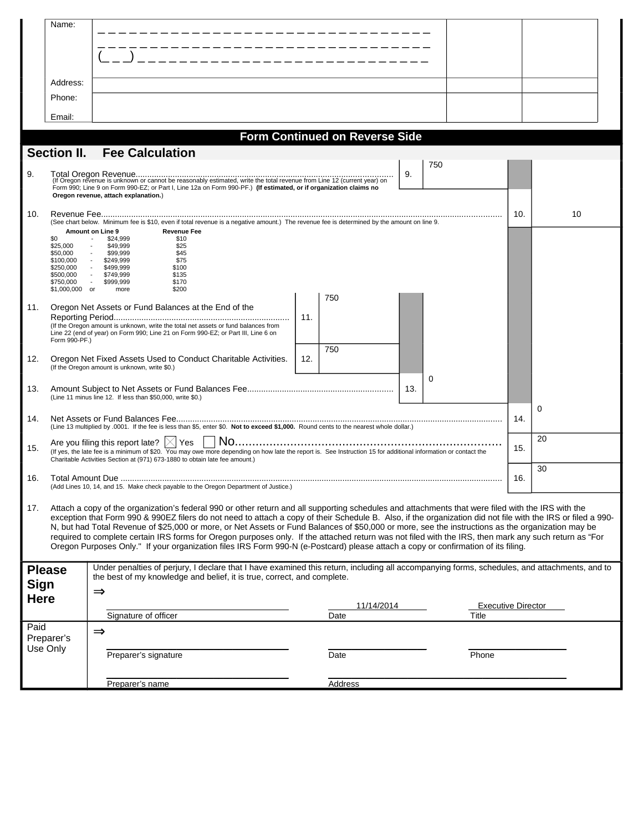|             | Name:                       |                                                                                                                                                                                                                                                                                                                   |     |                                       |     |                           |     |    |
|-------------|-----------------------------|-------------------------------------------------------------------------------------------------------------------------------------------------------------------------------------------------------------------------------------------------------------------------------------------------------------------|-----|---------------------------------------|-----|---------------------------|-----|----|
|             |                             |                                                                                                                                                                                                                                                                                                                   |     |                                       |     |                           |     |    |
|             |                             |                                                                                                                                                                                                                                                                                                                   |     |                                       |     |                           |     |    |
|             |                             | _________________                                                                                                                                                                                                                                                                                                 |     |                                       |     |                           |     |    |
|             | Address:                    |                                                                                                                                                                                                                                                                                                                   |     |                                       |     |                           |     |    |
|             | Phone:                      |                                                                                                                                                                                                                                                                                                                   |     |                                       |     |                           |     |    |
|             | Email:                      |                                                                                                                                                                                                                                                                                                                   |     |                                       |     |                           |     |    |
|             |                             |                                                                                                                                                                                                                                                                                                                   |     |                                       |     |                           |     |    |
|             |                             | <b>Fee Calculation</b>                                                                                                                                                                                                                                                                                            |     | <b>Form Continued on Reverse Side</b> |     |                           |     |    |
|             | <b>Section II.</b>          |                                                                                                                                                                                                                                                                                                                   |     |                                       |     | 750                       |     |    |
| 9.          |                             |                                                                                                                                                                                                                                                                                                                   |     |                                       | 9.  |                           |     |    |
|             |                             | Form 990; Line 9 on Form 990-EZ; or Part I, Line 12a on Form 990-PF.) (If estimated, or if organization claims no<br>Oregon revenue, attach explanation.)                                                                                                                                                         |     |                                       |     |                           |     |    |
| 10.         |                             |                                                                                                                                                                                                                                                                                                                   |     |                                       |     |                           | 10. | 10 |
|             |                             | (See chart below. Minimum fee is \$10, even if total revenue is a negative amount.) The revenue fee is determined by the amount on line 9.<br>Amount on Line 9<br><b>Revenue Fee</b>                                                                                                                              |     |                                       |     |                           |     |    |
|             | \$0<br>\$25,000             | \$24,999<br>\$10<br>\$49,999<br>\$25<br>$\blacksquare$                                                                                                                                                                                                                                                            |     |                                       |     |                           |     |    |
|             | \$50,000<br>\$100,000       | \$45<br>$\sim$<br>\$99,999<br>\$75<br>\$249,999<br>$\sim$ $-$                                                                                                                                                                                                                                                     |     |                                       |     |                           |     |    |
|             | \$250,000<br>\$500,000      | \$499,999<br>\$100<br>\$749,999<br>\$135                                                                                                                                                                                                                                                                          |     |                                       |     |                           |     |    |
|             | \$750,000<br>\$1,000,000 or | $\sim 10^{-11}$<br>\$999,999<br>\$170<br>more<br>\$200                                                                                                                                                                                                                                                            |     |                                       |     |                           |     |    |
| 11.         |                             | Oregon Net Assets or Fund Balances at the End of the                                                                                                                                                                                                                                                              |     | 750                                   |     |                           |     |    |
|             |                             | (If the Oregon amount is unknown, write the total net assets or fund balances from                                                                                                                                                                                                                                | 11. |                                       |     |                           |     |    |
|             | Form 990-PF.)               | Line 22 (end of year) on Form 990; Line 21 on Form 990-EZ; or Part III, Line 6 on                                                                                                                                                                                                                                 |     |                                       |     |                           |     |    |
|             |                             |                                                                                                                                                                                                                                                                                                                   | 12. | 750                                   |     |                           |     |    |
| 12.         |                             | Oregon Net Fixed Assets Used to Conduct Charitable Activities.<br>(If the Oregon amount is unknown, write \$0.)                                                                                                                                                                                                   |     |                                       |     |                           |     |    |
| 13.         |                             |                                                                                                                                                                                                                                                                                                                   |     |                                       | 13. | 0                         |     |    |
|             |                             | (Line 11 minus line 12. If less than \$50,000, write \$0.)                                                                                                                                                                                                                                                        |     |                                       |     |                           |     |    |
| 14.         |                             |                                                                                                                                                                                                                                                                                                                   |     |                                       |     |                           | 14. | 0  |
|             |                             | (Line 13 multiplied by .0001. If the fee is less than \$5, enter \$0. Not to exceed \$1,000. Round cents to the nearest whole dollar.)                                                                                                                                                                            |     |                                       |     |                           |     |    |
| 15.         |                             | Are you filing this report late? $ \times $ Yes<br>(If yes, the late fee is a minimum of \$20. $\overline{Y_{00}}$ may owe more depending on how late the report is. See Instruction 15 for additional information or contact the                                                                                 |     |                                       |     |                           | 15. | 20 |
|             |                             | Charitable Activities Section at (971) 673-1880 to obtain late fee amount.)                                                                                                                                                                                                                                       |     |                                       |     |                           |     | 30 |
| 16.         |                             |                                                                                                                                                                                                                                                                                                                   |     |                                       |     |                           | 16. |    |
|             |                             | (Add Lines 10, 14, and 15. Make check payable to the Oregon Department of Justice.)                                                                                                                                                                                                                               |     |                                       |     |                           |     |    |
| 17.         |                             | Attach a copy of the organization's federal 990 or other return and all supporting schedules and attachments that were filed with the IRS with the                                                                                                                                                                |     |                                       |     |                           |     |    |
|             |                             | exception that Form 990 & 990EZ filers do not need to attach a copy of their Schedule B. Also, if the organization did not file with the IRS or filed a 990-<br>N, but had Total Revenue of \$25,000 or more, or Net Assets or Fund Balances of \$50,000 or more, see the instructions as the organization may be |     |                                       |     |                           |     |    |
|             |                             | required to complete certain IRS forms for Oregon purposes only. If the attached return was not filed with the IRS, then mark any such return as "For<br>Oregon Purposes Only." If your organization files IRS Form 990-N (e-Postcard) please attach a copy or confirmation of its filing.                        |     |                                       |     |                           |     |    |
|             |                             |                                                                                                                                                                                                                                                                                                                   |     |                                       |     |                           |     |    |
|             | <b>Please</b>               | Under penalties of perjury, I declare that I have examined this return, including all accompanying forms, schedules, and attachments, and to<br>the best of my knowledge and belief, it is true, correct, and complete.                                                                                           |     |                                       |     |                           |     |    |
| <b>Sign</b> |                             | $\Rightarrow$                                                                                                                                                                                                                                                                                                     |     |                                       |     |                           |     |    |
| <b>Here</b> |                             |                                                                                                                                                                                                                                                                                                                   |     | 11/14/2014                            |     | <b>Executive Director</b> |     |    |
| Paid        |                             | Signature of officer                                                                                                                                                                                                                                                                                              |     | Date                                  |     | Title                     |     |    |
|             | Preparer's                  | $\Rightarrow$                                                                                                                                                                                                                                                                                                     |     |                                       |     |                           |     |    |
| Use Only    |                             | Preparer's signature                                                                                                                                                                                                                                                                                              |     | Date<br>Phone                         |     |                           |     |    |
|             |                             |                                                                                                                                                                                                                                                                                                                   |     |                                       |     |                           |     |    |
|             |                             | Preparer's name                                                                                                                                                                                                                                                                                                   |     | <b>Address</b>                        |     |                           |     |    |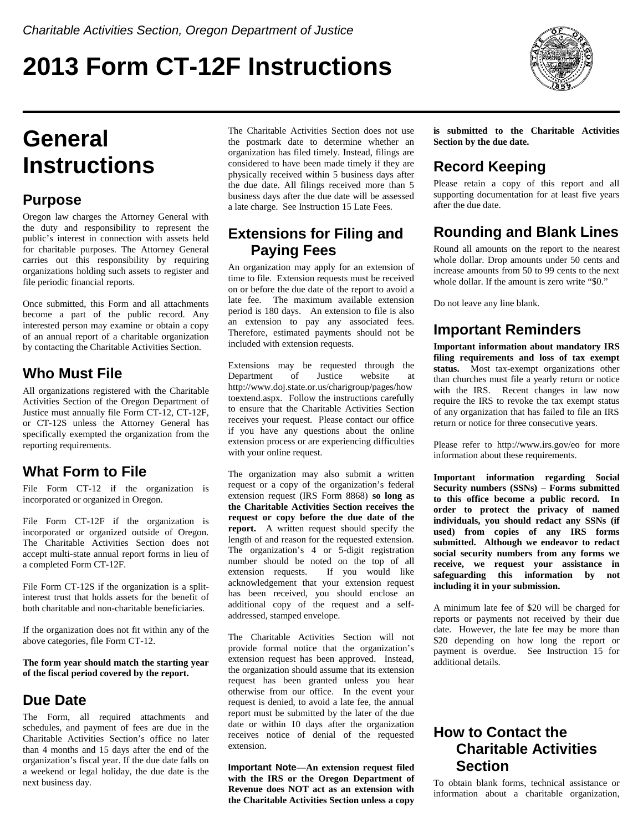# **2013 Form CT-12F Instructions**



# **General Instructions**

## **Purpose**

Oregon law charges the Attorney General with the duty and responsibility to represent the public's interest in connection with assets held for charitable purposes. The Attorney General carries out this responsibility by requiring organizations holding such assets to register and file periodic financial reports.

Once submitted, this Form and all attachments become a part of the public record. Any interested person may examine or obtain a copy of an annual report of a charitable organization by contacting the Charitable Activities Section.

# **Who Must File**

All organizations registered with the Charitable Activities Section of the Oregon Department of Justice must annually file Form CT-12, CT-12F, or CT-12S unless the Attorney General has specifically exempted the organization from the reporting requirements.

# **What Form to File**

File Form CT-12 if the organization is incorporated or organized in Oregon.

File Form CT-12F if the organization is incorporated or organized outside of Oregon. The Charitable Activities Section does not accept multi-state annual report forms in lieu of a completed Form CT-12F.

File Form CT-12S if the organization is a splitinterest trust that holds assets for the benefit of both charitable and non-charitable beneficiaries.

If the organization does not fit within any of the above categories, file Form CT-12.

**The form year should match the starting year of the fiscal period covered by the report.**

## **Due Date**

The Form, all required attachments and schedules, and payment of fees are due in the Charitable Activities Section's office no later than 4 months and 15 days after the end of the organization's fiscal year. If the due date falls on a weekend or legal holiday, the due date is the next business day.

The Charitable Activities Section does not use the postmark date to determine whether an organization has filed timely. Instead, filings are considered to have been made timely if they are physically received within 5 business days after the due date. All filings received more than 5 business days after the due date will be assessed a late charge. See Instruction 15 Late Fees.

## **Extensions for Filing and Paying Fees**

An organization may apply for an extension of time to file. Extension requests must be received on or before the due date of the report to avoid a late fee. The maximum available extension period is 180 days. An extension to file is also an extension to pay any associated fees. Therefore, estimated payments should not be included with extension requests.

Extensions may be requested through the Department of Justice website at http://www.doj.state.or.us/charigroup/pages/how toextend.aspx. Follow the instructions carefully to ensure that the Charitable Activities Section receives your request. Please contact our office if you have any questions about the online extension process or are experiencing difficulties with your online request.

The organization may also submit a written request or a copy of the organization's federal extension request (IRS Form 8868) **so long as the Charitable Activities Section receives the request or copy before the due date of the report.** A written request should specify the length of and reason for the requested extension. The organization's 4 or 5-digit registration number should be noted on the top of all extension requests. If you would like acknowledgement that your extension request has been received, you should enclose an additional copy of the request and a selfaddressed, stamped envelope.

The Charitable Activities Section will not provide formal notice that the organization's extension request has been approved. Instead, the organization should assume that its extension request has been granted unless you hear otherwise from our office. In the event your request is denied, to avoid a late fee, the annual report must be submitted by the later of the due date or within 10 days after the organization receives notice of denial of the requested extension.

**Important Note**—**An extension request filed with the IRS or the Oregon Department of Revenue does NOT act as an extension with the Charitable Activities Section unless a copy** **is submitted to the Charitable Activities Section by the due date.**

# **Record Keeping**

Please retain a copy of this report and all supporting documentation for at least five years after the due date.

# **Rounding and Blank Lines**

Round all amounts on the report to the nearest whole dollar. Drop amounts under 50 cents and increase amounts from 50 to 99 cents to the next whole dollar. If the amount is zero write "\$0."

Do not leave any line blank.

## **Important Reminders**

**Important information about mandatory IRS filing requirements and loss of tax exempt status.** Most tax-exempt organizations other than churches must file a yearly return or notice with the IRS. Recent changes in law now require the IRS to revoke the tax exempt status of any organization that has failed to file an IRS return or notice for three consecutive years.

Please refer to http://www.irs.gov/eo for more information about these requirements.

**Important information regarding Social Security numbers (SSNs)** – **Forms submitted to this office become a public record. In order to protect the privacy of named individuals, you should redact any SSNs (if used) from copies of any IRS forms submitted. Although we endeavor to redact social security numbers from any forms we receive, we request your assistance in safeguarding this information by not including it in your submission.**

A minimum late fee of \$20 will be charged for reports or payments not received by their due date. However, the late fee may be more than \$20 depending on how long the report or payment is overdue. See Instruction 15 for additional details.

# **How to Contact the Charitable Activities Section**

To obtain blank forms, technical assistance or information about a charitable organization,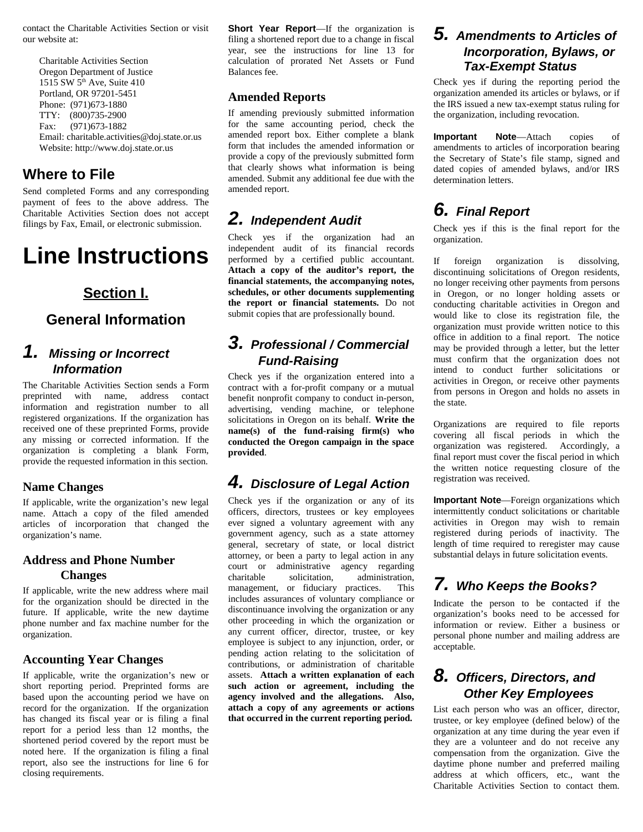contact the Charitable Activities Section or visit our website at:

 Charitable Activities Section Oregon Department of Justice 1515 SW 5<sup>th</sup> Ave, Suite 410 Portland, OR 97201-5451 Phone: (971)673-1880 TTY: (800)735-2900 Fax: (971)673-1882 Email: charitable.activities@doj.state.or.us Website: http://www.doj.state.or.us

## **Where to File**

Send completed Forms and any corresponding payment of fees to the above address. The Charitable Activities Section does not accept filings by Fax, Email, or electronic submission.

# **Line Instructions**

## **Section I.**

## **General Information**

## *1. Missing or Incorrect Information*

The Charitable Activities Section sends a Form preprinted with name, address contact information and registration number to all registered organizations. If the organization has received one of these preprinted Forms, provide any missing or corrected information. If the organization is completing a blank Form, provide the requested information in this section.

#### **Name Changes**

If applicable, write the organization's new legal name. Attach a copy of the filed amended articles of incorporation that changed the organization's name.

#### **Address and Phone Number Changes**

If applicable, write the new address where mail for the organization should be directed in the future. If applicable, write the new daytime phone number and fax machine number for the organization.

#### **Accounting Year Changes**

If applicable, write the organization's new or short reporting period. Preprinted forms are based upon the accounting period we have on record for the organization. If the organization has changed its fiscal year or is filing a final report for a period less than 12 months, the shortened period covered by the report must be noted here. If the organization is filing a final report, also see the instructions for line 6 for closing requirements.

**Short Year Report**—If the organization is filing a shortened report due to a change in fiscal year, see the instructions for line 13 for calculation of prorated Net Assets or Fund Balances fee.

#### **Amended Reports**

If amending previously submitted information for the same accounting period, check the amended report box. Either complete a blank form that includes the amended information or provide a copy of the previously submitted form that clearly shows what information is being amended. Submit any additional fee due with the amended report.

# *2. Independent Audit*

Check yes if the organization had an independent audit of its financial records performed by a certified public accountant. **Attach a copy of the auditor's report, the financial statements, the accompanying notes, schedules, or other documents supplementing the report or financial statements.** Do not submit copies that are professionally bound.

## *3. Professional / Commercial Fund-Raising*

Check yes if the organization entered into a contract with a for-profit company or a mutual benefit nonprofit company to conduct in-person, advertising, vending machine, or telephone solicitations in Oregon on its behalf. **Write the name(s) of the fund-raising firm(s) who conducted the Oregon campaign in the space provided**.

# *4. Disclosure of Legal Action*

Check yes if the organization or any of its officers, directors, trustees or key employees ever signed a voluntary agreement with any government agency, such as a state attorney general, secretary of state, or local district attorney, or been a party to legal action in any court or administrative agency regarding charitable solicitation, administration, management, or fiduciary practices. This includes assurances of voluntary compliance or discontinuance involving the organization or any other proceeding in which the organization or any current officer, director, trustee, or key employee is subject to any injunction, order, or pending action relating to the solicitation of contributions, or administration of charitable assets. **Attach a written explanation of each such action or agreement, including the agency involved and the allegations. Also, attach a copy of any agreements or actions that occurred in the current reporting period.**

## *5. Amendments to Articles of Incorporation, Bylaws, or Tax-Exempt Status*

Check yes if during the reporting period the organization amended its articles or bylaws, or if the IRS issued a new tax-exempt status ruling for the organization, including revocation.

**Important Note**—Attach copies of amendments to articles of incorporation bearing the Secretary of State's file stamp, signed and dated copies of amended bylaws, and/or IRS determination letters.

# *6. Final Report*

Check yes if this is the final report for the organization.

If foreign organization is dissolving, discontinuing solicitations of Oregon residents, no longer receiving other payments from persons in Oregon, or no longer holding assets or conducting charitable activities in Oregon and would like to close its registration file, the organization must provide written notice to this office in addition to a final report. The notice may be provided through a letter, but the letter must confirm that the organization does not intend to conduct further solicitations or activities in Oregon, or receive other payments from persons in Oregon and holds no assets in the state.

Organizations are required to file reports covering all fiscal periods in which the organization was registered. Accordingly, a final report must cover the fiscal period in which the written notice requesting closure of the registration was received.

**Important Note**—Foreign organizations which intermittently conduct solicitations or charitable activities in Oregon may wish to remain registered during periods of inactivity. The length of time required to reregister may cause substantial delays in future solicitation events.

# *7. Who Keeps the Books?*

Indicate the person to be contacted if the organization's books need to be accessed for information or review. Either a business or personal phone number and mailing address are acceptable.

## *8. Officers, Directors, and Other Key Employees*

List each person who was an officer, director, trustee, or key employee (defined below) of the organization at any time during the year even if they are a volunteer and do not receive any compensation from the organization. Give the daytime phone number and preferred mailing address at which officers, etc., want the Charitable Activities Section to contact them.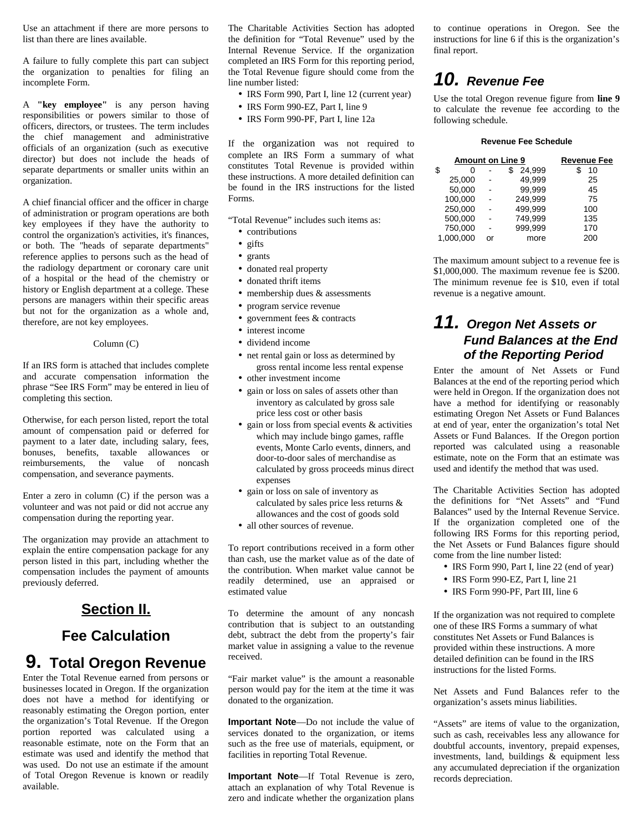Use an attachment if there are more persons to list than there are lines available.

A failure to fully complete this part can subject the organization to penalties for filing an incomplete Form.

A **"key employee"** is any person having responsibilities or powers similar to those of officers, directors, or trustees. The term includes the chief management and administrative officials of an organization (such as executive director) but does not include the heads of separate departments or smaller units within an organization.

A chief financial officer and the officer in charge of administration or program operations are both key employees if they have the authority to control the organization's activities, it's finances, or both. The "heads of separate departments" reference applies to persons such as the head of the radiology department or coronary care unit of a hospital or the head of the chemistry or history or English department at a college. These persons are managers within their specific areas but not for the organization as a whole and, therefore, are not key employees.

#### Column (C)

If an IRS form is attached that includes complete and accurate compensation information the phrase "See IRS Form" may be entered in lieu of completing this section.

Otherwise, for each person listed, report the total amount of compensation paid or deferred for payment to a later date, including salary, fees, bonuses, benefits, taxable allowances or reimbursements, the value of noncash compensation, and severance payments.

Enter a zero in column (C) if the person was a volunteer and was not paid or did not accrue any compensation during the reporting year.

The organization may provide an attachment to explain the entire compensation package for any person listed in this part, including whether the compensation includes the payment of amounts previously deferred.

### **Section II.**

### **Fee Calculation**

# **9. Total Oregon Revenue**

Enter the Total Revenue earned from persons or businesses located in Oregon. If the organization does not have a method for identifying or reasonably estimating the Oregon portion, enter the organization's Total Revenue. If the Oregon portion reported was calculated using a reasonable estimate, note on the Form that an estimate was used and identify the method that was used. Do not use an estimate if the amount of Total Oregon Revenue is known or readily available.

The Charitable Activities Section has adopted the definition for "Total Revenue" used by the Internal Revenue Service. If the organization completed an IRS Form for this reporting period, the Total Revenue figure should come from the line number listed:

- IRS Form 990, Part I, line 12 (current year)
- IRS Form 990-EZ, Part I, line 9
- IRS Form 990-PF, Part I, line 12a

If the organization was not required to complete an IRS Form a summary of what constitutes Total Revenue is provided within these instructions. A more detailed definition can be found in the IRS instructions for the listed Forms.

"Total Revenue" includes such items as:

- contributions
- gifts
- grants
- donated real property
- donated thrift items
- membership dues & assessments
- program service revenue
- government fees & contracts
- interest income
- dividend income
- net rental gain or loss as determined by gross rental income less rental expense
- other investment income
- gain or loss on sales of assets other than inventory as calculated by gross sale price less cost or other basis
- gain or loss from special events & activities which may include bingo games, raffle events, Monte Carlo events, dinners, and door-to-door sales of merchandise as calculated by gross proceeds minus direct expenses
- gain or loss on sale of inventory as calculated by sales price less returns & allowances and the cost of goods sold
- all other sources of revenue.

To report contributions received in a form other than cash, use the market value as of the date of the contribution. When market value cannot be readily determined, use an appraised or estimated value

To determine the amount of any noncash contribution that is subject to an outstanding debt, subtract the debt from the property's fair market value in assigning a value to the revenue received.

"Fair market value" is the amount a reasonable person would pay for the item at the time it was donated to the organization.

**Important Note**—Do not include the value of services donated to the organization, or items such as the free use of materials, equipment, or facilities in reporting Total Revenue.

**Important Note**—If Total Revenue is zero, attach an explanation of why Total Revenue is zero and indicate whether the organization plans to continue operations in Oregon. See the instructions for line 6 if this is the organization's final report.

# *10. Revenue Fee*

Use the total Oregon revenue figure from **line 9** to calculate the revenue fee according to the following schedule.

#### **Revenue Fee Schedule**

| <b>Amount on Line 9</b> | <b>Revenue Fee</b> |         |          |
|-------------------------|--------------------|---------|----------|
| \$<br>O                 |                    | 24.999  | 10<br>\$ |
| 25,000                  |                    | 49.999  | 25       |
| 50,000                  |                    | 99.999  | 45       |
| 100,000                 |                    | 249,999 | 75       |
| 250,000                 |                    | 499.999 | 100      |
| 500,000                 |                    | 749,999 | 135      |
| 750,000                 |                    | 999,999 | 170      |
| 1,000,000               | nr                 | more    | 200      |
|                         |                    |         |          |

The maximum amount subject to a revenue fee is \$1,000,000. The maximum revenue fee is \$200. The minimum revenue fee is \$10, even if total revenue is a negative amount.

## *11. Oregon Net Assets or Fund Balances at the End of the Reporting Period*

Enter the amount of Net Assets or Fund Balances at the end of the reporting period which were held in Oregon. If the organization does not have a method for identifying or reasonably estimating Oregon Net Assets or Fund Balances at end of year, enter the organization's total Net Assets or Fund Balances. If the Oregon portion reported was calculated using a reasonable estimate, note on the Form that an estimate was used and identify the method that was used.

The Charitable Activities Section has adopted the definitions for "Net Assets" and "Fund Balances" used by the Internal Revenue Service. If the organization completed one of the following IRS Forms for this reporting period, the Net Assets or Fund Balances figure should come from the line number listed:

- IRS Form 990, Part I, line 22 (end of year)
- IRS Form 990-EZ, Part I, line 21
- IRS Form 990-PF, Part III, line 6

If the organization was not required to complete one of these IRS Forms a summary of what constitutes Net Assets or Fund Balances is provided within these instructions. A more detailed definition can be found in the IRS instructions for the listed Forms.

Net Assets and Fund Balances refer to the organization's assets minus liabilities.

"Assets" are items of value to the organization, such as cash, receivables less any allowance for doubtful accounts, inventory, prepaid expenses, investments, land, buildings & equipment less any accumulated depreciation if the organization records depreciation.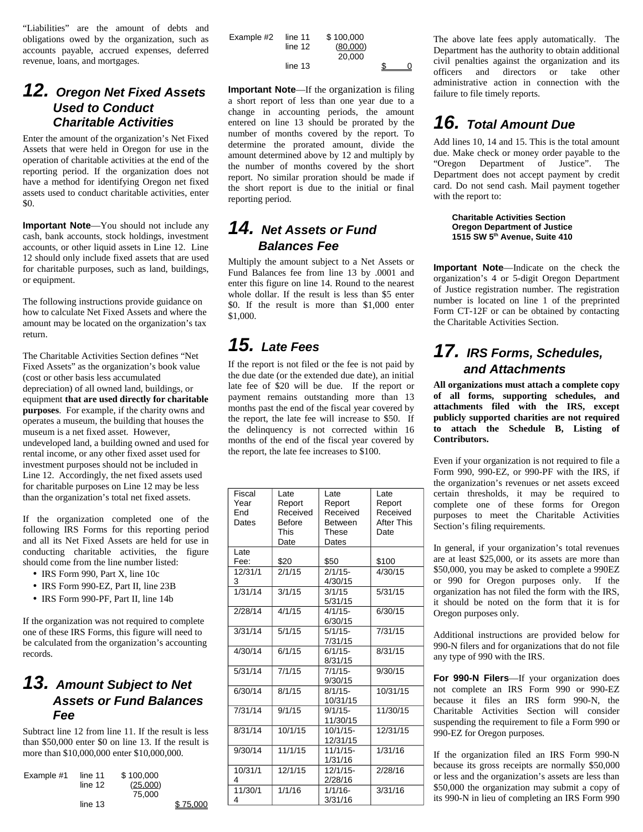"Liabilities" are the amount of debts and obligations owed by the organization, such as accounts payable, accrued expenses, deferred revenue, loans, and mortgages.

### *12. Oregon Net Fixed Assets Used to Conduct Charitable Activities*

Enter the amount of the organization's Net Fixed Assets that were held in Oregon for use in the operation of charitable activities at the end of the reporting period. If the organization does not have a method for identifying Oregon net fixed assets used to conduct charitable activities, enter \$0.

**Important Note**—You should not include any cash, bank accounts, stock holdings, investment accounts, or other liquid assets in Line 12. Line 12 should only include fixed assets that are used for charitable purposes, such as land, buildings, or equipment.

The following instructions provide guidance on how to calculate Net Fixed Assets and where the amount may be located on the organization's tax return.

The Charitable Activities Section defines "Net Fixed Assets" as the organization's book value (cost or other basis less accumulated depreciation) of all owned land, buildings, or equipment **that are used directly for charitable purposes**. For example, if the charity owns and operates a museum, the building that houses the museum is a net fixed asset. However, undeveloped land, a building owned and used for rental income, or any other fixed asset used for investment purposes should not be included in Line 12. Accordingly, the net fixed assets used for charitable purposes on Line 12 may be less than the organization's total net fixed assets.

If the organization completed one of the following IRS Forms for this reporting period and all its Net Fixed Assets are held for use in conducting charitable activities, the figure should come from the line number listed:

- IRS Form 990, Part X, line 10c
- IRS Form 990-EZ, Part II, line 23B
- IRS Form 990-PF, Part II, line 14b

If the organization was not required to complete one of these IRS Forms, this figure will need to be calculated from the organization's accounting records.

## *13. Amount Subject to Net Assets or Fund Balances Fee*

Subtract line 12 from line 11. If the result is less than \$50,000 enter \$0 on line 13. If the result is more than \$10,000,000 enter \$10,000,000.

| Example $#1$ | line 11 | \$100,000 |          |
|--------------|---------|-----------|----------|
|              | line 12 | (25,000)  |          |
|              |         | 75,000    |          |
|              | line 13 |           | \$75,000 |

| Example #2 | line $11$<br>line 12 | \$100.000<br>(80,000)<br>20,000 |  |
|------------|----------------------|---------------------------------|--|
|            | line 13              |                                 |  |

**Important Note**—If the organization is filing a short report of less than one year due to a change in accounting periods, the amount entered on line 13 should be prorated by the number of months covered by the report. To determine the prorated amount, divide the amount determined above by 12 and multiply by the number of months covered by the short report. No similar proration should be made if the short report is due to the initial or final reporting period.

# *14. Net Assets or Fund Balances Fee*

Multiply the amount subject to a Net Assets or Fund Balances fee from line 13 by .0001 and enter this figure on line 14. Round to the nearest whole dollar. If the result is less than \$5 enter \$0. If the result is more than \$1,000 enter \$1,000.

# *15. Late Fees*

If the report is not filed or the fee is not paid by the due date (or the extended due date), an initial late fee of \$20 will be due. If the report or payment remains outstanding more than 13 months past the end of the fiscal year covered by the report, the late fee will increase to \$50. If the delinquency is not corrected within 16 months of the end of the fiscal year covered by the report, the late fee increases to \$100.

| Fiscal  | Late          | Late           | Late       |  |
|---------|---------------|----------------|------------|--|
| Year    | Report        | Report         | Report     |  |
| End     | Received      | Received       | Received   |  |
| Dates   | <b>Before</b> | <b>Between</b> | After This |  |
|         | <b>This</b>   | These          | Date       |  |
|         | Date          | Dates          |            |  |
| Late    |               |                |            |  |
| Fee:    | \$20          | \$50           | \$100      |  |
| 12/31/1 | 2/1/15        | $2/1/15-$      | 4/30/15    |  |
| 3       |               | 4/30/15        |            |  |
| 1/31/14 | 3/1/15        | 3/1/15         | 5/31/15    |  |
|         |               | 5/31/15        |            |  |
| 2/28/14 | 4/1/15        | $4/1/15-$      | 6/30/15    |  |
|         |               | 6/30/15        |            |  |
| 3/31/14 | 5/1/15        | $5/1/15$ -     | 7/31/15    |  |
|         |               | 7/31/15        |            |  |
| 4/30/14 | 6/1/15        | $6/1/15$ -     | 8/31/15    |  |
|         |               | 8/31/15        |            |  |
| 5/31/14 | 7/1/15        | $7/1/15$ -     | 9/30/15    |  |
|         |               | 9/30/15        |            |  |
| 6/30/14 | 8/1/15        | $8/1/15 -$     | 10/31/15   |  |
|         |               | 10/31/15       |            |  |
| 7/31/14 | 9/1/15        | $9/1/15$ -     | 11/30/15   |  |
|         |               | 11/30/15       |            |  |
| 8/31/14 | 10/1/15       | 10/1/15-       | 12/31/15   |  |
|         |               | 12/31/15       |            |  |
| 9/30/14 | 11/1/15       | 11/1/15-       | 1/31/16    |  |
|         |               | 1/31/16        |            |  |
| 10/31/1 | 12/1/15       | 12/1/15-       | 2/28/16    |  |
| 4       |               | 2/28/16        |            |  |
| 11/30/1 | 1/1/16        | $1/1/16$ -     | 3/31/16    |  |
| 4       |               | 3/31/16        |            |  |
|         |               |                |            |  |

The above late fees apply automatically. The Department has the authority to obtain additional civil penalties against the organization and its officers and directors or take other administrative action in connection with the failure to file timely reports.

# *16. Total Amount Due*

Add lines 10, 14 and 15. This is the total amount due. Make check or money order payable to the "Oregon Department of Justice". The Department does not accept payment by credit card. Do not send cash. Mail payment together with the report to:

> **Charitable Activities Section Oregon Department of Justice 1515 SW 5th Avenue, Suite 410**

**Important Note**—Indicate on the check the organization's 4 or 5-digit Oregon Department of Justice registration number. The registration number is located on line 1 of the preprinted Form CT-12F or can be obtained by contacting the Charitable Activities Section.

# *17. IRS Forms, Schedules, and Attachments*

**All organizations must attach a complete copy of all forms, supporting schedules, and attachments filed with the IRS, except publicly supported charities are not required to attach the Schedule B, Listing of Contributors.**

Even if your organization is not required to file a Form 990, 990-EZ, or 990-PF with the IRS, if the organization's revenues or net assets exceed certain thresholds, it may be required to complete one of these forms for Oregon purposes to meet the Charitable Activities Section's filing requirements.

In general, if your organization's total revenues are at least \$25,000, or its assets are more than \$50,000, you may be asked to complete a 990EZ or 990 for Oregon purposes only. If the organization has not filed the form with the IRS, it should be noted on the form that it is for Oregon purposes only.

Additional instructions are provided below for 990-N filers and for organizations that do not file any type of 990 with the IRS.

**For 990-N Filers**—If your organization does not complete an IRS Form 990 or 990-EZ because it files an IRS form 990-N, the Charitable Activities Section will consider suspending the requirement to file a Form 990 or 990-EZ for Oregon purposes.

If the organization filed an IRS Form 990-N because its gross receipts are normally \$50,000 or less and the organization's assets are less than \$50,000 the organization may submit a copy of its 990-N in lieu of completing an IRS Form 990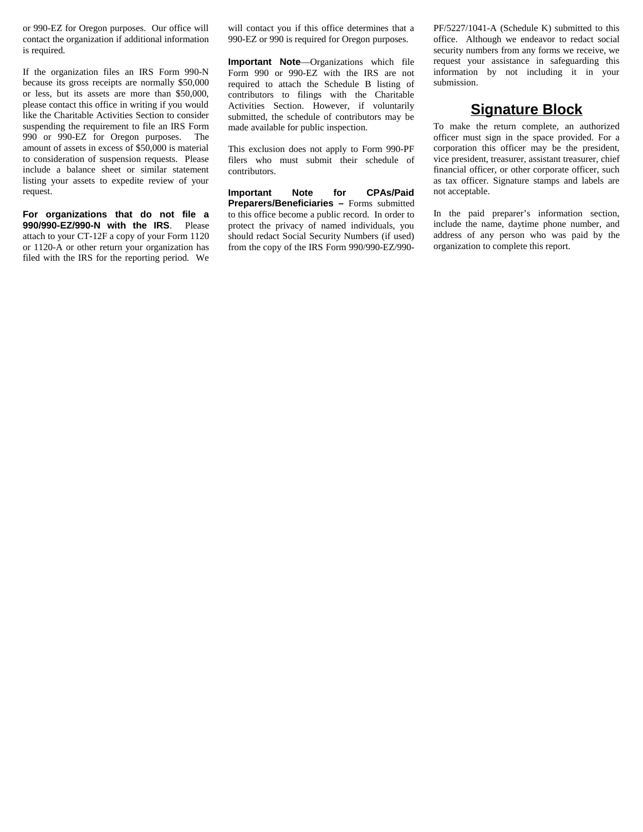or 990-EZ for Oregon purposes. Our office will contact the organization if additional information is required.

If the organization files an IRS Form 990-N because its gross receipts are normally \$50,000 or less, but its assets are more than \$50,000, please contact this office in writing if you would like the Charitable Activities Section to consider suspending the requirement to file an IRS Form 990 or 990-EZ for Oregon purposes. The amount of assets in excess of \$50,000 is material to consideration of suspension requests. Please include a balance sheet or similar statement listing your assets to expedite review of your request.

**For organizations that do not file a 990/990-EZ/990-N with the IRS**. Please attach to your CT-12F a copy of your Form 1120 or 1120-A or other return your organization has filed with the IRS for the reporting period. We will contact you if this office determines that a 990-EZ or 990 is required for Oregon purposes.

**Important Note**—Organizations which file Form 990 or 990-EZ with the IRS are not required to attach the Schedule B listing of contributors to filings with the Charitable Activities Section. However, if voluntarily submitted, the schedule of contributors may be made available for public inspection.

This exclusion does not apply to Form 990-PF filers who must submit their schedule of contributors.

**Important Note for CPAs/Paid Preparers/Beneficiaries –** Forms submitted to this office become a public record. In order to protect the privacy of named individuals, you should redact Social Security Numbers (if used) from the copy of the IRS Form 990/990-EZ/990PF/5227/1041-A (Schedule K) submitted to this office. Although we endeavor to redact social security numbers from any forms we receive, we request your assistance in safeguarding this information by not including it in your submission.

#### **Signature Block**

To make the return complete, an authorized officer must sign in the space provided. For a corporation this officer may be the president, vice president, treasurer, assistant treasurer, chief financial officer, or other corporate officer, such as tax officer. Signature stamps and labels are not acceptable.

In the paid preparer's information section, include the name, daytime phone number, and address of any person who was paid by the organization to complete this report.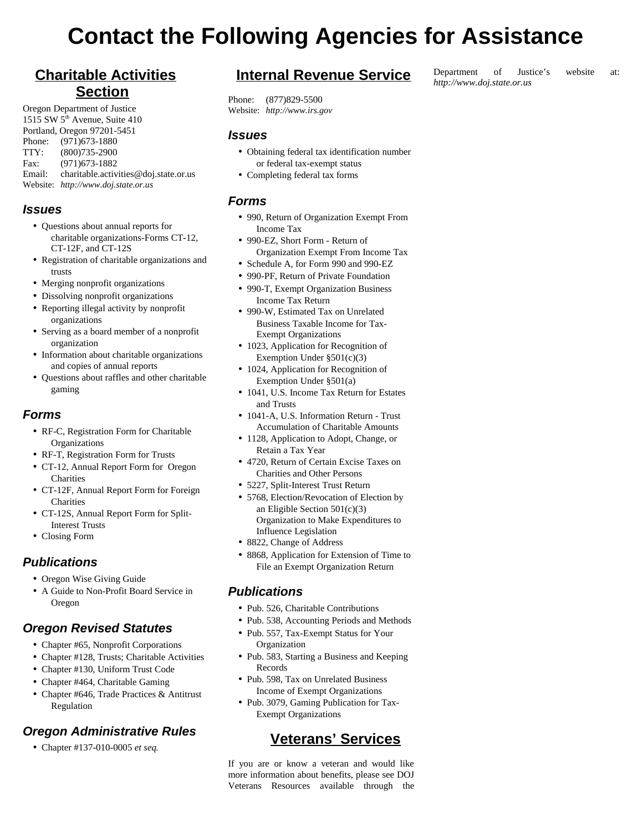# **Contact the Following Agencies for Assistance**

# **Charitable Activities Section**

Oregon Department of Justice 1515 SW 5<sup>th</sup> Avenue, Suite 410 Portland, Oregon 97201-5451 Phone: (971)673-1880 TTY: (800)735-2900 Fax: (971)673-1882 Email: charitable.activities@doj.state.or.us Website: *http://www.doj.state.or.us*

#### *Issues*

- Questions about annual reports for charitable organizations-Forms CT-12, CT-12F, and CT-12S
- Registration of charitable organizations and trusts
- Merging nonprofit organizations
- Dissolving nonprofit organizations
- Reporting illegal activity by nonprofit organizations
- Serving as a board member of a nonprofit organization
- Information about charitable organizations and copies of annual reports
- Questions about raffles and other charitable gaming

#### *Forms*

- RF-C, Registration Form for Charitable **Organizations**
- RF-T, Registration Form for Trusts
- CT-12, Annual Report Form for Oregon **Charities**
- CT-12F, Annual Report Form for Foreign **Charities**
- CT-12S, Annual Report Form for Split-Interest Trusts
- Closing Form

#### *Publications*

- Oregon Wise Giving Guide
- A Guide to Non-Profit Board Service in Oregon

#### *Oregon Revised Statutes*

- Chapter #65, Nonprofit Corporations
- Chapter #128, Trusts; Charitable Activities
- Chapter #130, Uniform Trust Code
- Chapter #464, Charitable Gaming
- Chapter #646, Trade Practices & Antitrust Regulation

### *Oregon Administrative Rules*

• Chapter #137-010-0005 *et seq.*

## **Internal Revenue Service**

Phone: (877)829-5500 Website: *http://www.irs.gov*

#### *Issues*

- Obtaining federal tax identification number or federal tax-exempt status
- Completing federal tax forms

#### *Forms*

- 990, Return of Organization Exempt From Income Tax
- 990-EZ, Short Form Return of Organization Exempt From Income Tax
- Schedule A, for Form 990 and 990-EZ
- 990-PF, Return of Private Foundation
- 990-T, Exempt Organization Business Income Tax Return
- 990-W, Estimated Tax on Unrelated Business Taxable Income for Tax-Exempt Organizations
- 1023, Application for Recognition of Exemption Under §501(c)(3)
- 1024, Application for Recognition of Exemption Under §501(a)
- 1041, U.S. Income Tax Return for Estates and Trusts
- 1041-A, U.S. Information Return Trust Accumulation of Charitable Amounts
- 1128, Application to Adopt, Change, or Retain a Tax Year
- 4720, Return of Certain Excise Taxes on Charities and Other Persons
- 5227, Split-Interest Trust Return
- 5768, Election/Revocation of Election by an Eligible Section 501(c)(3) Organization to Make Expenditures to Influence Legislation
- 8822, Change of Address
- 8868, Application for Extension of Time to File an Exempt Organization Return

#### *Publications*

- Pub. 526, Charitable Contributions
- Pub. 538, Accounting Periods and Methods
- Pub. 557, Tax-Exempt Status for Your **Organization**
- Pub. 583, Starting a Business and Keeping Records
- Pub. 598, Tax on Unrelated Business Income of Exempt Organizations
- Pub. 3079, Gaming Publication for Tax-Exempt Organizations

## **Veterans' Services**

If you are or know a veteran and would like more information about benefits, please see DOJ Veterans Resources available through the

#### Department of Justice's website at: *http://www.doj.state.or.us*